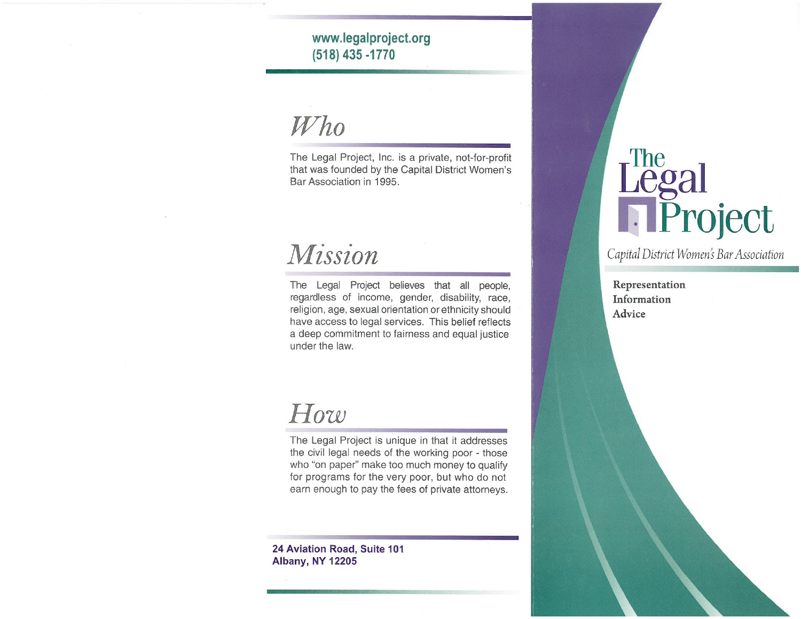www.legalproject.org (518) 435 - 1770

 $Who$ 

The Legal Project, Inc. is a private, not-for-profit that was founded by the Capital District Women's Bar Association in 1995.

## Mission

The Legal Project believes that all people, regardless of income, gender, disability, race, religion, age, sexual orientation or ethnicity should have access to legal services. This belief reflects a deep commitment to fairness and equal justice under the law.

## How

The Legal Project is unique in that it addresses the civil legal needs of the working poor - those who "on paper" make too much money to qualify for programs for the very poor, but who do not earn enough to pay the fees of private attorneys.

24 Aviation Road, Suite 101 **Albany, NY 12205** 

# Legal<br>
Project

Capital District Women's Bar Association

Representation Information Advice